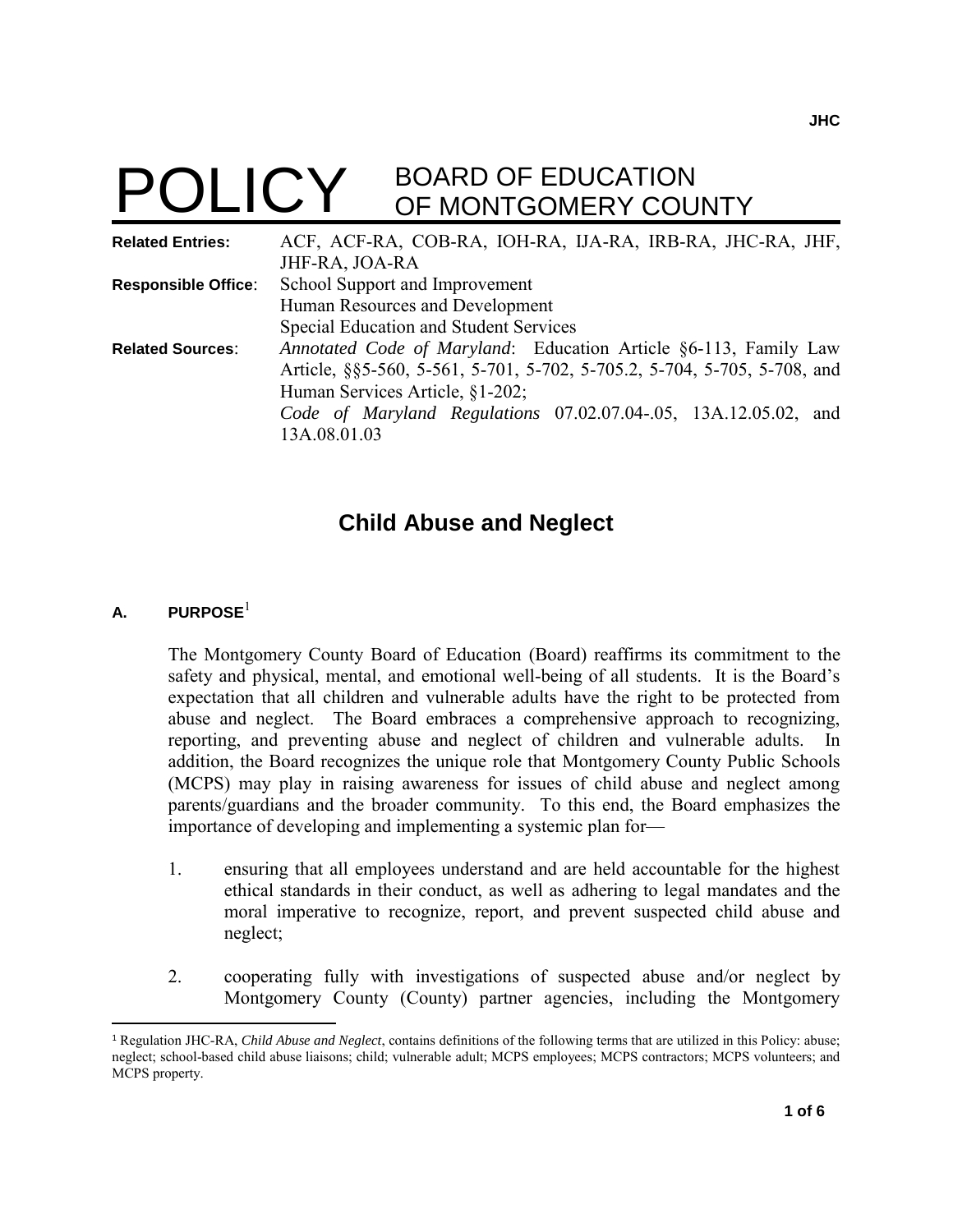# **POLICY** BOARD OF EDUCATION OF MONTGOMERY COUNTY

| <b>Related Entries:</b>    | ACF, ACF-RA, COB-RA, IOH-RA, IJA-RA, IRB-RA, JHC-RA, JHF,                |
|----------------------------|--------------------------------------------------------------------------|
|                            | JHF-RA, JOA-RA                                                           |
| <b>Responsible Office:</b> | School Support and Improvement                                           |
|                            | Human Resources and Development                                          |
|                            | Special Education and Student Services                                   |
| <b>Related Sources:</b>    | Annotated Code of Maryland: Education Article §6-113, Family Law         |
|                            | Article, §§5-560, 5-561, 5-701, 5-702, 5-705.2, 5-704, 5-705, 5-708, and |
|                            | Human Services Article, §1-202;                                          |
|                            | Code of Maryland Regulations 07.02.07.04-.05, 13A.12.05.02, and          |
|                            | 13A.08.01.03                                                             |
|                            |                                                                          |

## **Child Abuse and Neglect**

#### **A. PURPOSE**<sup>1</sup>

l

The Montgomery County Board of Education (Board) reaffirms its commitment to the safety and physical, mental, and emotional well-being of all students. It is the Board's expectation that all children and vulnerable adults have the right to be protected from abuse and neglect. The Board embraces a comprehensive approach to recognizing, reporting, and preventing abuse and neglect of children and vulnerable adults. In addition, the Board recognizes the unique role that Montgomery County Public Schools (MCPS) may play in raising awareness for issues of child abuse and neglect among parents/guardians and the broader community. To this end, the Board emphasizes the importance of developing and implementing a systemic plan for—

- 1. ensuring that all employees understand and are held accountable for the highest ethical standards in their conduct, as well as adhering to legal mandates and the moral imperative to recognize, report, and prevent suspected child abuse and neglect;
- 2. cooperating fully with investigations of suspected abuse and/or neglect by Montgomery County (County) partner agencies, including the Montgomery

<sup>1</sup> Regulation JHC-RA, *Child Abuse and Neglect*, contains definitions of the following terms that are utilized in this Policy: abuse; neglect; school-based child abuse liaisons; child; vulnerable adult; MCPS employees; MCPS contractors; MCPS volunteers; and MCPS property.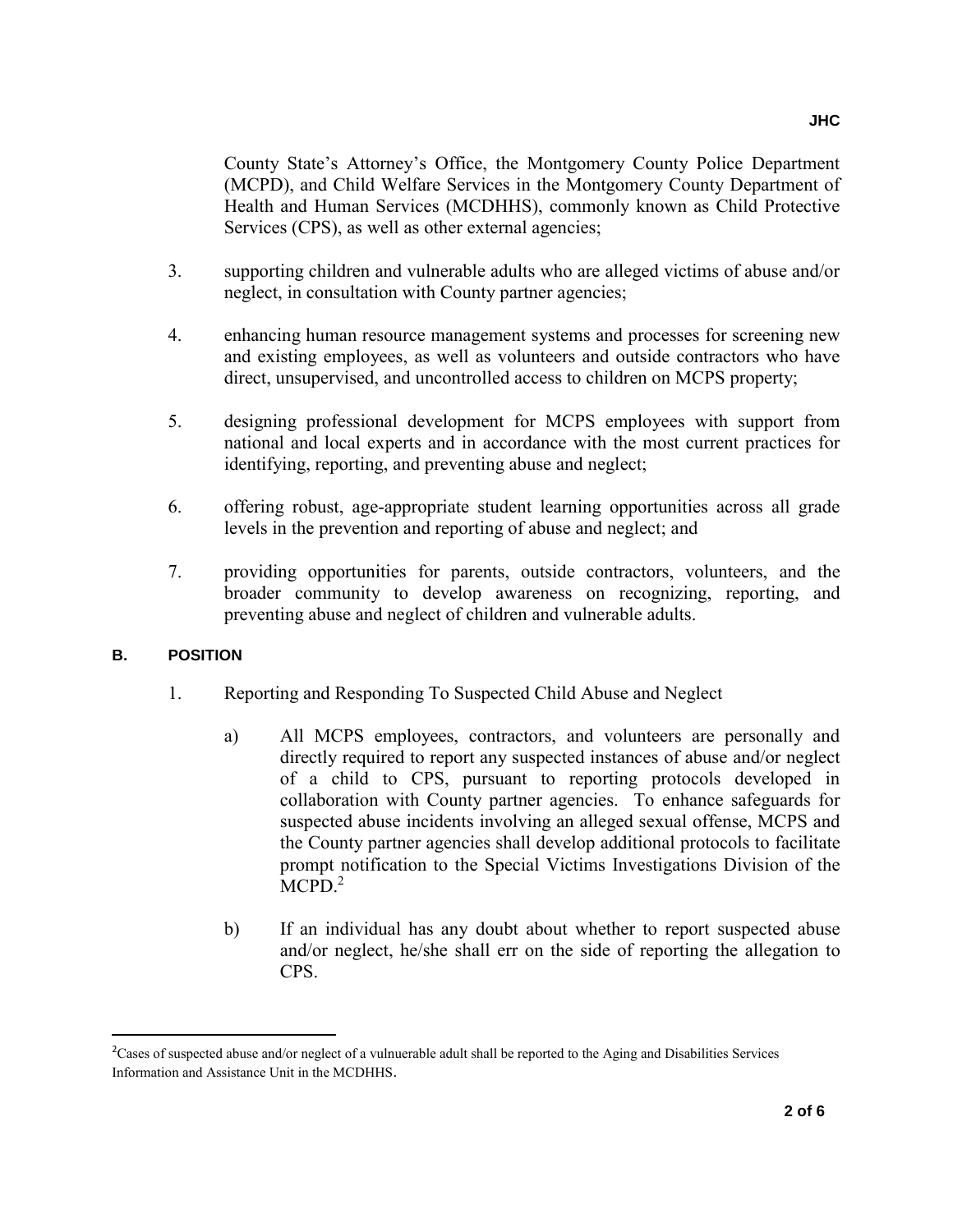County State's Attorney's Office, the Montgomery County Police Department (MCPD), and Child Welfare Services in the Montgomery County Department of Health and Human Services (MCDHHS), commonly known as Child Protective Services (CPS), as well as other external agencies;

- 3. supporting children and vulnerable adults who are alleged victims of abuse and/or neglect, in consultation with County partner agencies;
- 4. enhancing human resource management systems and processes for screening new and existing employees, as well as volunteers and outside contractors who have direct, unsupervised, and uncontrolled access to children on MCPS property;
- 5. designing professional development for MCPS employees with support from national and local experts and in accordance with the most current practices for identifying, reporting, and preventing abuse and neglect;
- 6. offering robust, age-appropriate student learning opportunities across all grade levels in the prevention and reporting of abuse and neglect; and
- 7. providing opportunities for parents, outside contractors, volunteers, and the broader community to develop awareness on recognizing, reporting, and preventing abuse and neglect of children and vulnerable adults.

#### **B. POSITION**

 $\overline{\phantom{a}}$ 

- 1. Reporting and Responding To Suspected Child Abuse and Neglect
	- a) All MCPS employees, contractors, and volunteers are personally and directly required to report any suspected instances of abuse and/or neglect of a child to CPS, pursuant to reporting protocols developed in collaboration with County partner agencies. To enhance safeguards for suspected abuse incidents involving an alleged sexual offense, MCPS and the County partner agencies shall develop additional protocols to facilitate prompt notification to the Special Victims Investigations Division of the  $MCPD.<sup>2</sup>$
	- b) If an individual has any doubt about whether to report suspected abuse and/or neglect, he/she shall err on the side of reporting the allegation to CPS.

<sup>&</sup>lt;sup>2</sup>Cases of suspected abuse and/or neglect of a vulnuerable adult shall be reported to the Aging and Disabilities Services Information and Assistance Unit in the MCDHHS.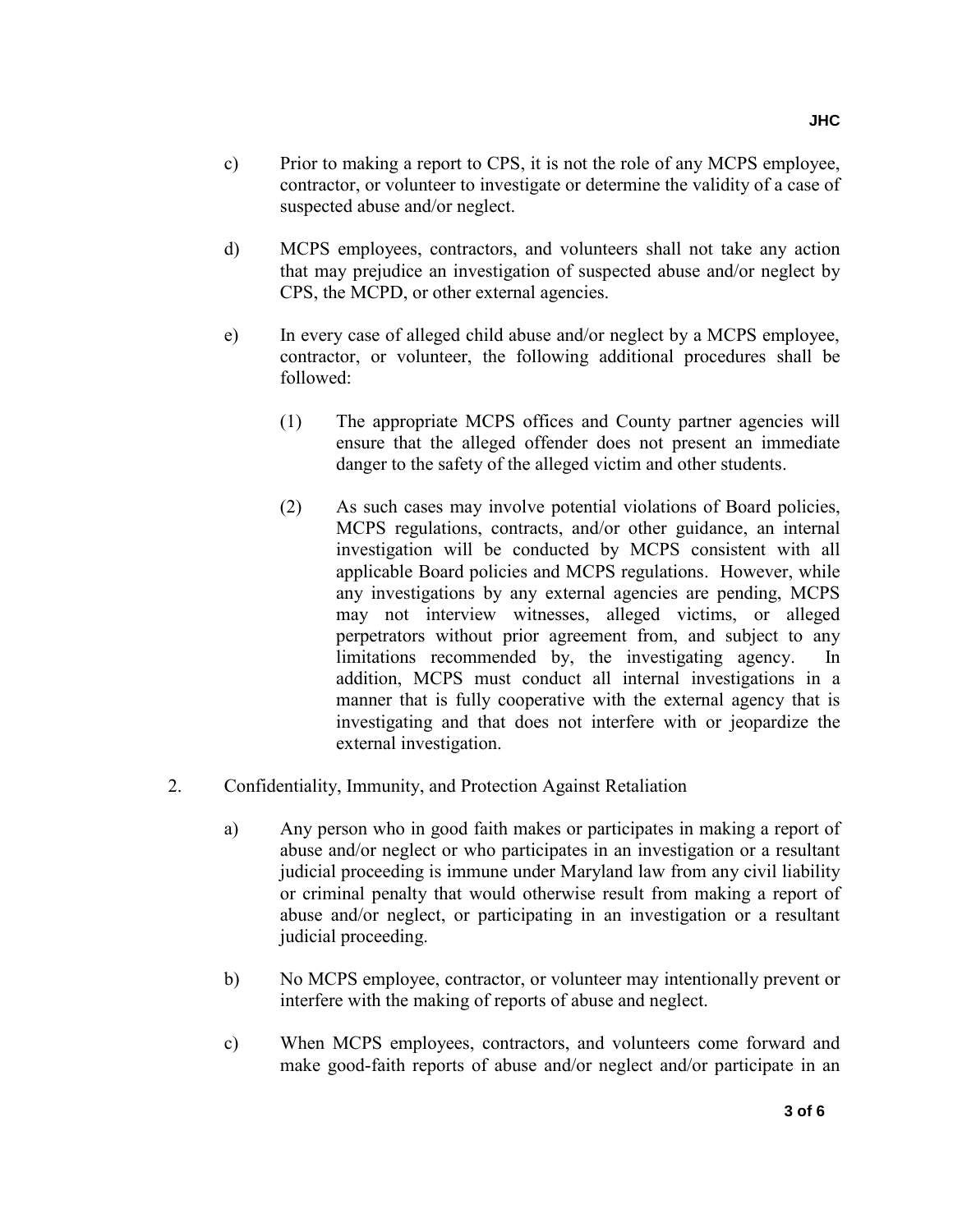- c) Prior to making a report to CPS, it is not the role of any MCPS employee, contractor, or volunteer to investigate or determine the validity of a case of suspected abuse and/or neglect.
- d) MCPS employees, contractors, and volunteers shall not take any action that may prejudice an investigation of suspected abuse and/or neglect by CPS, the MCPD, or other external agencies.
- e) In every case of alleged child abuse and/or neglect by a MCPS employee, contractor, or volunteer, the following additional procedures shall be followed:
	- (1) The appropriate MCPS offices and County partner agencies will ensure that the alleged offender does not present an immediate danger to the safety of the alleged victim and other students.
	- (2) As such cases may involve potential violations of Board policies, MCPS regulations, contracts, and/or other guidance, an internal investigation will be conducted by MCPS consistent with all applicable Board policies and MCPS regulations. However, while any investigations by any external agencies are pending, MCPS may not interview witnesses, alleged victims, or alleged perpetrators without prior agreement from, and subject to any limitations recommended by, the investigating agency. In addition, MCPS must conduct all internal investigations in a manner that is fully cooperative with the external agency that is investigating and that does not interfere with or jeopardize the external investigation.
- 2. Confidentiality, Immunity, and Protection Against Retaliation
	- a) Any person who in good faith makes or participates in making a report of abuse and/or neglect or who participates in an investigation or a resultant judicial proceeding is immune under Maryland law from any civil liability or criminal penalty that would otherwise result from making a report of abuse and/or neglect, or participating in an investigation or a resultant judicial proceeding.
	- b) No MCPS employee, contractor, or volunteer may intentionally prevent or interfere with the making of reports of abuse and neglect.
	- c) When MCPS employees, contractors, and volunteers come forward and make good-faith reports of abuse and/or neglect and/or participate in an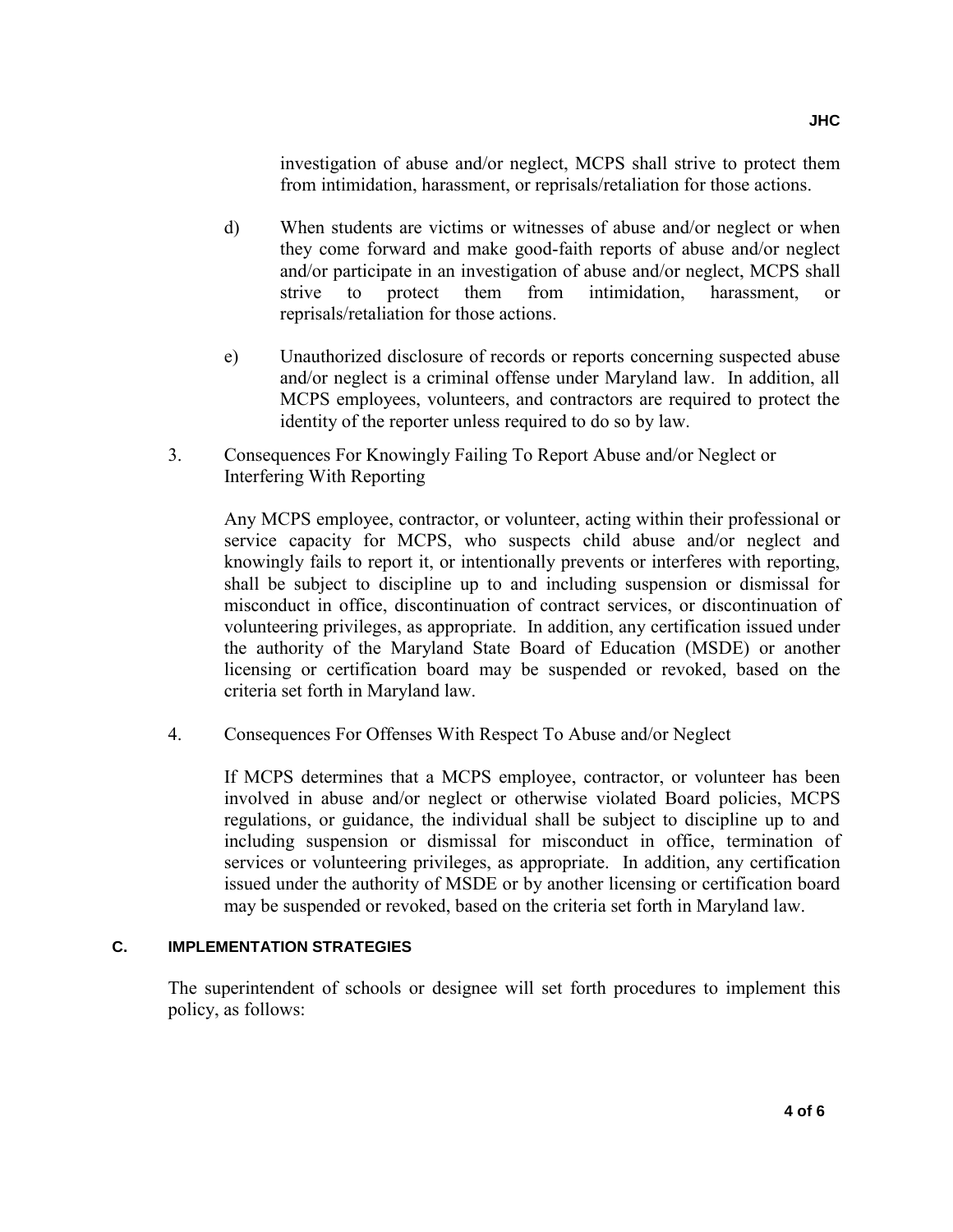investigation of abuse and/or neglect, MCPS shall strive to protect them from intimidation, harassment, or reprisals/retaliation for those actions.

- d) When students are victims or witnesses of abuse and/or neglect or when they come forward and make good-faith reports of abuse and/or neglect and/or participate in an investigation of abuse and/or neglect, MCPS shall strive to protect them from intimidation, harassment, or reprisals/retaliation for those actions.
- e) Unauthorized disclosure of records or reports concerning suspected abuse and/or neglect is a criminal offense under Maryland law. In addition, all MCPS employees, volunteers, and contractors are required to protect the identity of the reporter unless required to do so by law.
- 3. Consequences For Knowingly Failing To Report Abuse and/or Neglect or Interfering With Reporting

Any MCPS employee, contractor, or volunteer, acting within their professional or service capacity for MCPS, who suspects child abuse and/or neglect and knowingly fails to report it, or intentionally prevents or interferes with reporting, shall be subject to discipline up to and including suspension or dismissal for misconduct in office, discontinuation of contract services, or discontinuation of volunteering privileges, as appropriate. In addition, any certification issued under the authority of the Maryland State Board of Education (MSDE) or another licensing or certification board may be suspended or revoked, based on the criteria set forth in Maryland law.

4. Consequences For Offenses With Respect To Abuse and/or Neglect

If MCPS determines that a MCPS employee, contractor, or volunteer has been involved in abuse and/or neglect or otherwise violated Board policies, MCPS regulations, or guidance, the individual shall be subject to discipline up to and including suspension or dismissal for misconduct in office, termination of services or volunteering privileges, as appropriate. In addition, any certification issued under the authority of MSDE or by another licensing or certification board may be suspended or revoked, based on the criteria set forth in Maryland law.

#### **C. IMPLEMENTATION STRATEGIES**

The superintendent of schools or designee will set forth procedures to implement this policy, as follows: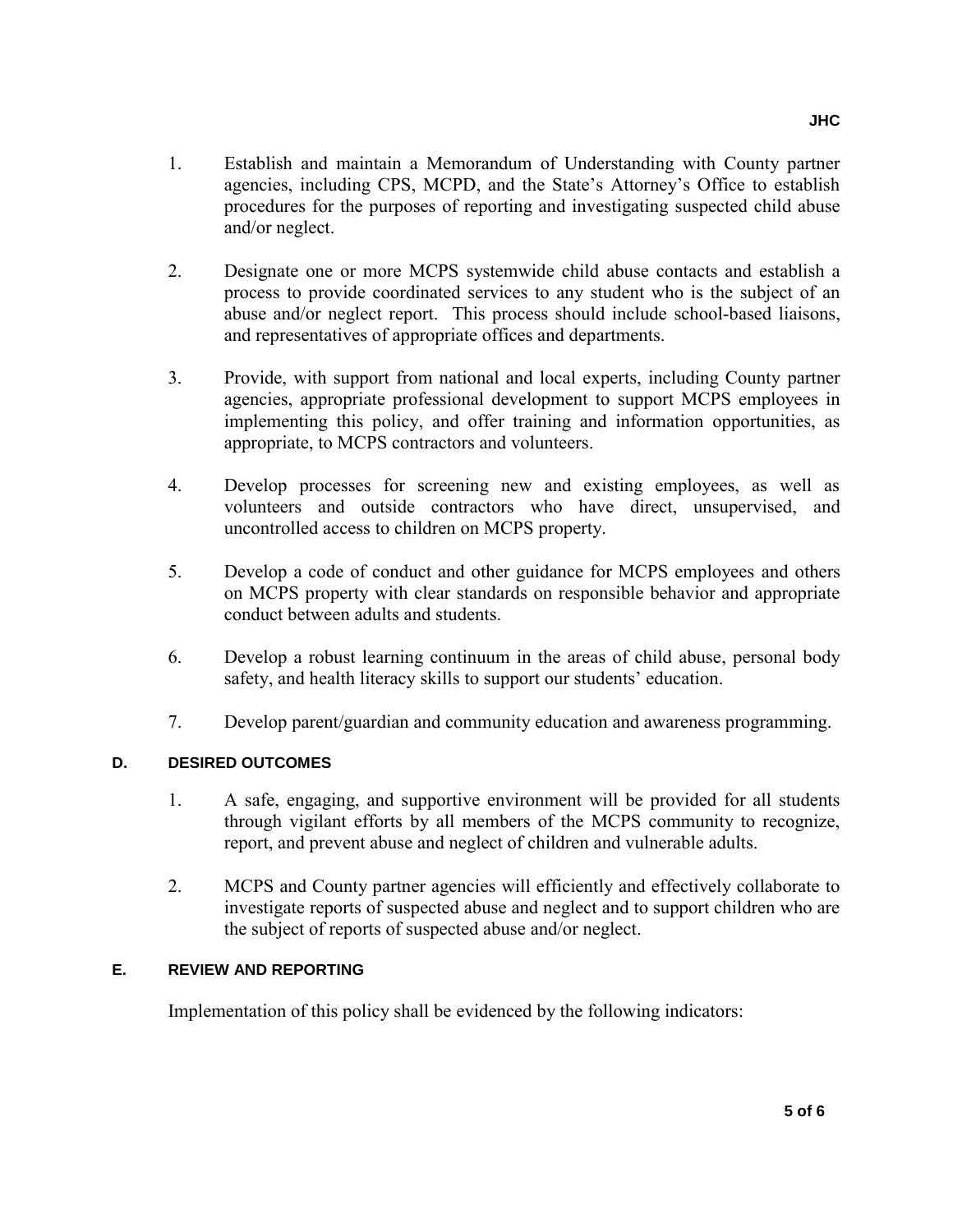- 1. Establish and maintain a Memorandum of Understanding with County partner agencies, including CPS, MCPD, and the State's Attorney's Office to establish procedures for the purposes of reporting and investigating suspected child abuse and/or neglect.
- 2. Designate one or more MCPS systemwide child abuse contacts and establish a process to provide coordinated services to any student who is the subject of an abuse and/or neglect report. This process should include school-based liaisons, and representatives of appropriate offices and departments.
- 3. Provide, with support from national and local experts, including County partner agencies, appropriate professional development to support MCPS employees in implementing this policy, and offer training and information opportunities, as appropriate, to MCPS contractors and volunteers.
- 4. Develop processes for screening new and existing employees, as well as volunteers and outside contractors who have direct, unsupervised, and uncontrolled access to children on MCPS property.
- 5. Develop a code of conduct and other guidance for MCPS employees and others on MCPS property with clear standards on responsible behavior and appropriate conduct between adults and students.
- 6. Develop a robust learning continuum in the areas of child abuse, personal body safety, and health literacy skills to support our students' education.
- 7. Develop parent/guardian and community education and awareness programming.

#### **D. DESIRED OUTCOMES**

- 1. A safe, engaging, and supportive environment will be provided for all students through vigilant efforts by all members of the MCPS community to recognize, report, and prevent abuse and neglect of children and vulnerable adults.
- 2. MCPS and County partner agencies will efficiently and effectively collaborate to investigate reports of suspected abuse and neglect and to support children who are the subject of reports of suspected abuse and/or neglect.

### **E. REVIEW AND REPORTING**

Implementation of this policy shall be evidenced by the following indicators: